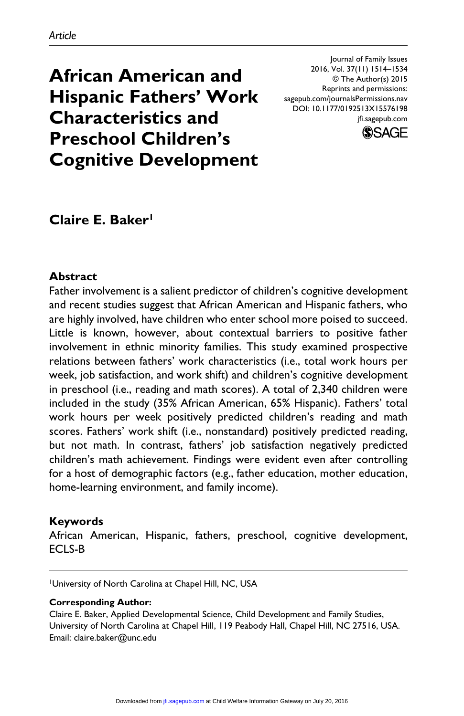**African American and Hispanic Fathers' Work Characteristics and Preschool Children's Cognitive Development**

Journal of Family Issues 2016, Vol. 37(11) 1514–1534 © The Author(s) 2015 Reprints and permissions: sagepub.com/journalsPermissions.nav DOI: 10.1177/0192513X15576198 jfi.sagepub.com



# **Claire E. Baker1**

#### **Abstract**

Father involvement is a salient predictor of children's cognitive development and recent studies suggest that African American and Hispanic fathers, who are highly involved, have children who enter school more poised to succeed. Little is known, however, about contextual barriers to positive father involvement in ethnic minority families. This study examined prospective relations between fathers' work characteristics (i.e., total work hours per week, job satisfaction, and work shift) and children's cognitive development in preschool (i.e., reading and math scores). A total of 2,340 children were included in the study (35% African American, 65% Hispanic). Fathers' total work hours per week positively predicted children's reading and math scores. Fathers' work shift (i.e., nonstandard) positively predicted reading, but not math. In contrast, fathers' job satisfaction negatively predicted children's math achievement. Findings were evident even after controlling for a host of demographic factors (e.g., father education, mother education, home-learning environment, and family income).

#### **Keywords**

African American, Hispanic, fathers, preschool, cognitive development, ECLS-B

#### **Corresponding Author:**

Claire E. Baker, Applied Developmental Science, Child Development and Family Studies, University of North Carolina at Chapel Hill, 119 Peabody Hall, Chapel Hill, NC 27516, USA. Email: [claire.baker@unc.edu](mailto:claire.baker@unc.edu)

<sup>1</sup>University of North Carolina at Chapel Hill, NC, USA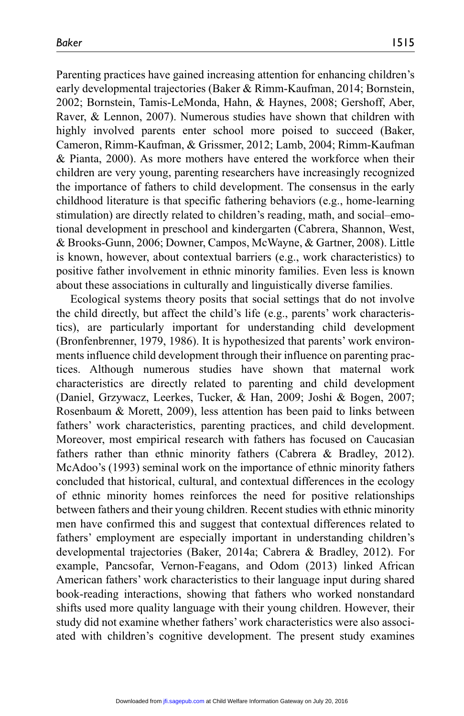Parenting practices have gained increasing attention for enhancing children's early developmental trajectories (Baker & Rimm-Kaufman, 2014; Bornstein, 2002; Bornstein, Tamis-LeMonda, Hahn, & Haynes, 2008; Gershoff, Aber, Raver, & Lennon, 2007). Numerous studies have shown that children with highly involved parents enter school more poised to succeed (Baker, Cameron, Rimm-Kaufman, & Grissmer, 2012; Lamb, 2004; Rimm-Kaufman & Pianta, 2000). As more mothers have entered the workforce when their children are very young, parenting researchers have increasingly recognized the importance of fathers to child development. The consensus in the early childhood literature is that specific fathering behaviors (e.g., home-learning stimulation) are directly related to children's reading, math, and social–emotional development in preschool and kindergarten (Cabrera, Shannon, West, & Brooks-Gunn, 2006; Downer, Campos, McWayne, & Gartner, 2008). Little is known, however, about contextual barriers (e.g., work characteristics) to positive father involvement in ethnic minority families. Even less is known about these associations in culturally and linguistically diverse families.

Ecological systems theory posits that social settings that do not involve the child directly, but affect the child's life (e.g., parents' work characteristics), are particularly important for understanding child development (Bronfenbrenner, 1979, 1986). It is hypothesized that parents' work environments influence child development through their influence on parenting practices. Although numerous studies have shown that maternal work characteristics are directly related to parenting and child development (Daniel, Grzywacz, Leerkes, Tucker, & Han, 2009; Joshi & Bogen, 2007; Rosenbaum & Morett, 2009), less attention has been paid to links between fathers' work characteristics, parenting practices, and child development. Moreover, most empirical research with fathers has focused on Caucasian fathers rather than ethnic minority fathers (Cabrera & Bradley, 2012). McAdoo's (1993) seminal work on the importance of ethnic minority fathers concluded that historical, cultural, and contextual differences in the ecology of ethnic minority homes reinforces the need for positive relationships between fathers and their young children. Recent studies with ethnic minority men have confirmed this and suggest that contextual differences related to fathers' employment are especially important in understanding children's developmental trajectories (Baker, 2014a; Cabrera & Bradley, 2012). For example, Pancsofar, Vernon-Feagans, and Odom (2013) linked African American fathers' work characteristics to their language input during shared book-reading interactions, showing that fathers who worked nonstandard shifts used more quality language with their young children. However, their study did not examine whether fathers' work characteristics were also associated with children's cognitive development. The present study examines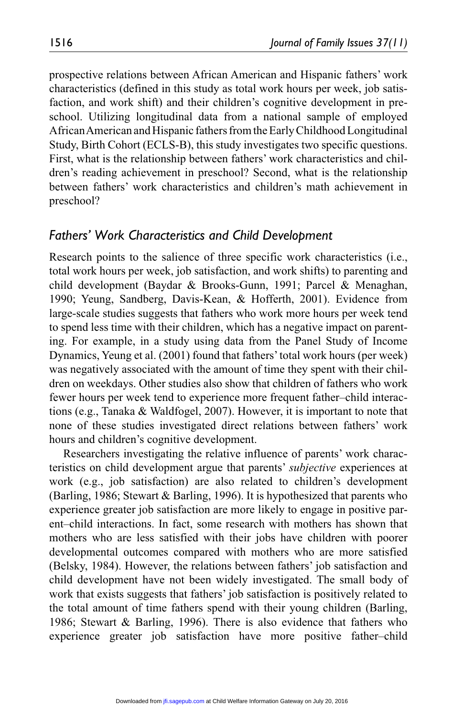prospective relations between African American and Hispanic fathers' work characteristics (defined in this study as total work hours per week, job satisfaction, and work shift) and their children's cognitive development in preschool. Utilizing longitudinal data from a national sample of employed African American and Hispanic fathers from the Early Childhood Longitudinal Study, Birth Cohort (ECLS-B), this study investigates two specific questions. First, what is the relationship between fathers' work characteristics and children's reading achievement in preschool? Second, what is the relationship between fathers' work characteristics and children's math achievement in preschool?

### *Fathers' Work Characteristics and Child Development*

Research points to the salience of three specific work characteristics (i.e., total work hours per week, job satisfaction, and work shifts) to parenting and child development (Baydar & Brooks-Gunn, 1991; Parcel & Menaghan, 1990; Yeung, Sandberg, Davis-Kean, & Hofferth, 2001). Evidence from large-scale studies suggests that fathers who work more hours per week tend to spend less time with their children, which has a negative impact on parenting. For example, in a study using data from the Panel Study of Income Dynamics, Yeung et al. (2001) found that fathers' total work hours (per week) was negatively associated with the amount of time they spent with their children on weekdays. Other studies also show that children of fathers who work fewer hours per week tend to experience more frequent father–child interactions (e.g., Tanaka & Waldfogel, 2007). However, it is important to note that none of these studies investigated direct relations between fathers' work hours and children's cognitive development.

Researchers investigating the relative influence of parents' work characteristics on child development argue that parents' *subjective* experiences at work (e.g., job satisfaction) are also related to children's development (Barling, 1986; Stewart & Barling, 1996). It is hypothesized that parents who experience greater job satisfaction are more likely to engage in positive parent–child interactions. In fact, some research with mothers has shown that mothers who are less satisfied with their jobs have children with poorer developmental outcomes compared with mothers who are more satisfied (Belsky, 1984). However, the relations between fathers' job satisfaction and child development have not been widely investigated. The small body of work that exists suggests that fathers' job satisfaction is positively related to the total amount of time fathers spend with their young children (Barling, 1986; Stewart & Barling, 1996). There is also evidence that fathers who experience greater job satisfaction have more positive father–child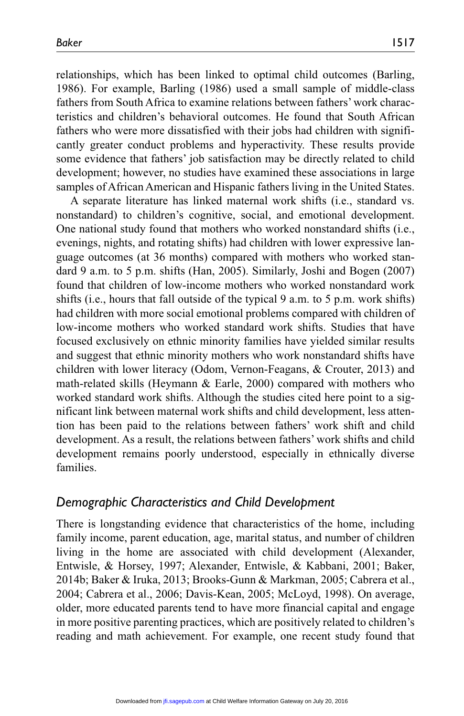relationships, which has been linked to optimal child outcomes (Barling, 1986). For example, Barling (1986) used a small sample of middle-class fathers from South Africa to examine relations between fathers' work characteristics and children's behavioral outcomes. He found that South African fathers who were more dissatisfied with their jobs had children with significantly greater conduct problems and hyperactivity. These results provide some evidence that fathers' job satisfaction may be directly related to child development; however, no studies have examined these associations in large samples of African American and Hispanic fathers living in the United States.

A separate literature has linked maternal work shifts (i.e., standard vs. nonstandard) to children's cognitive, social, and emotional development. One national study found that mothers who worked nonstandard shifts (i.e., evenings, nights, and rotating shifts) had children with lower expressive language outcomes (at 36 months) compared with mothers who worked standard 9 a.m. to 5 p.m. shifts (Han, 2005). Similarly, Joshi and Bogen (2007) found that children of low-income mothers who worked nonstandard work shifts (i.e., hours that fall outside of the typical 9 a.m. to 5 p.m. work shifts) had children with more social emotional problems compared with children of low-income mothers who worked standard work shifts. Studies that have focused exclusively on ethnic minority families have yielded similar results and suggest that ethnic minority mothers who work nonstandard shifts have children with lower literacy (Odom, Vernon-Feagans, & Crouter, 2013) and math-related skills (Heymann & Earle, 2000) compared with mothers who worked standard work shifts. Although the studies cited here point to a significant link between maternal work shifts and child development, less attention has been paid to the relations between fathers' work shift and child development. As a result, the relations between fathers' work shifts and child development remains poorly understood, especially in ethnically diverse families.

#### *Demographic Characteristics and Child Development*

There is longstanding evidence that characteristics of the home, including family income, parent education, age, marital status, and number of children living in the home are associated with child development (Alexander, Entwisle, & Horsey, 1997; Alexander, Entwisle, & Kabbani, 2001; Baker, 2014b; Baker & Iruka, 2013; Brooks-Gunn & Markman, 2005; Cabrera et al., 2004; Cabrera et al., 2006; Davis-Kean, 2005; McLoyd, 1998). On average, older, more educated parents tend to have more financial capital and engage in more positive parenting practices, which are positively related to children's reading and math achievement. For example, one recent study found that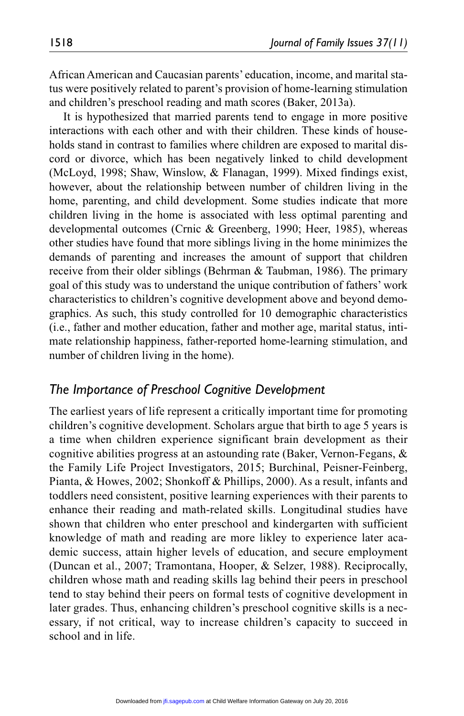African American and Caucasian parents' education, income, and marital status were positively related to parent's provision of home-learning stimulation and children's preschool reading and math scores (Baker, 2013a).

It is hypothesized that married parents tend to engage in more positive interactions with each other and with their children. These kinds of households stand in contrast to families where children are exposed to marital discord or divorce, which has been negatively linked to child development (McLoyd, 1998; Shaw, Winslow, & Flanagan, 1999). Mixed findings exist, however, about the relationship between number of children living in the home, parenting, and child development. Some studies indicate that more children living in the home is associated with less optimal parenting and developmental outcomes (Crnic & Greenberg, 1990; Heer, 1985), whereas other studies have found that more siblings living in the home minimizes the demands of parenting and increases the amount of support that children receive from their older siblings (Behrman & Taubman, 1986). The primary goal of this study was to understand the unique contribution of fathers' work characteristics to children's cognitive development above and beyond demographics. As such, this study controlled for 10 demographic characteristics (i.e., father and mother education, father and mother age, marital status, intimate relationship happiness, father-reported home-learning stimulation, and number of children living in the home).

# *The Importance of Preschool Cognitive Development*

The earliest years of life represent a critically important time for promoting children's cognitive development. Scholars argue that birth to age 5 years is a time when children experience significant brain development as their cognitive abilities progress at an astounding rate (Baker, Vernon-Fegans, & the Family Life Project Investigators, 2015; Burchinal, Peisner-Feinberg, Pianta, & Howes, 2002; Shonkoff & Phillips, 2000). As a result, infants and toddlers need consistent, positive learning experiences with their parents to enhance their reading and math-related skills. Longitudinal studies have shown that children who enter preschool and kindergarten with sufficient knowledge of math and reading are more likley to experience later academic success, attain higher levels of education, and secure employment (Duncan et al., 2007; Tramontana, Hooper, & Selzer, 1988). Reciprocally, children whose math and reading skills lag behind their peers in preschool tend to stay behind their peers on formal tests of cognitive development in later grades. Thus, enhancing children's preschool cognitive skills is a necessary, if not critical, way to increase children's capacity to succeed in school and in life.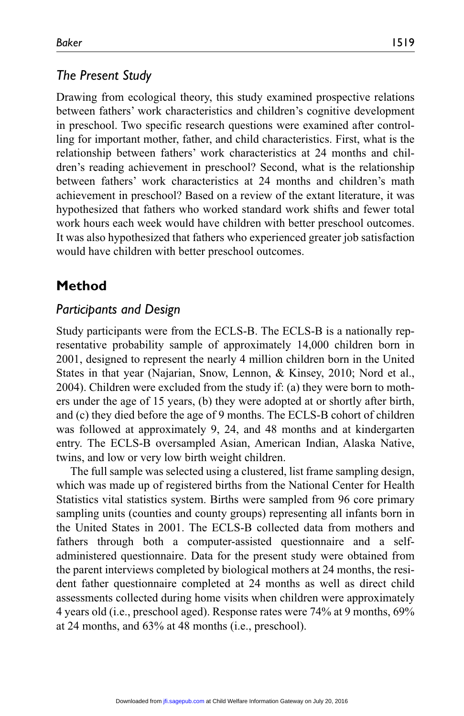### *The Present Study*

Drawing from ecological theory, this study examined prospective relations between fathers' work characteristics and children's cognitive development in preschool. Two specific research questions were examined after controlling for important mother, father, and child characteristics. First, what is the relationship between fathers' work characteristics at 24 months and children's reading achievement in preschool? Second, what is the relationship between fathers' work characteristics at 24 months and children's math achievement in preschool? Based on a review of the extant literature, it was hypothesized that fathers who worked standard work shifts and fewer total work hours each week would have children with better preschool outcomes. It was also hypothesized that fathers who experienced greater job satisfaction would have children with better preschool outcomes.

# **Method**

### *Participants and Design*

Study participants were from the ECLS-B. The ECLS-B is a nationally representative probability sample of approximately 14,000 children born in 2001, designed to represent the nearly 4 million children born in the United States in that year (Najarian, Snow, Lennon, & Kinsey, 2010; Nord et al., 2004). Children were excluded from the study if: (a) they were born to mothers under the age of 15 years, (b) they were adopted at or shortly after birth, and (c) they died before the age of 9 months. The ECLS-B cohort of children was followed at approximately 9, 24, and 48 months and at kindergarten entry. The ECLS-B oversampled Asian, American Indian, Alaska Native, twins, and low or very low birth weight children.

The full sample was selected using a clustered, list frame sampling design, which was made up of registered births from the National Center for Health Statistics vital statistics system. Births were sampled from 96 core primary sampling units (counties and county groups) representing all infants born in the United States in 2001. The ECLS-B collected data from mothers and fathers through both a computer-assisted questionnaire and a selfadministered questionnaire. Data for the present study were obtained from the parent interviews completed by biological mothers at 24 months, the resident father questionnaire completed at 24 months as well as direct child assessments collected during home visits when children were approximately 4 years old (i.e., preschool aged). Response rates were 74% at 9 months, 69% at 24 months, and 63% at 48 months (i.e., preschool).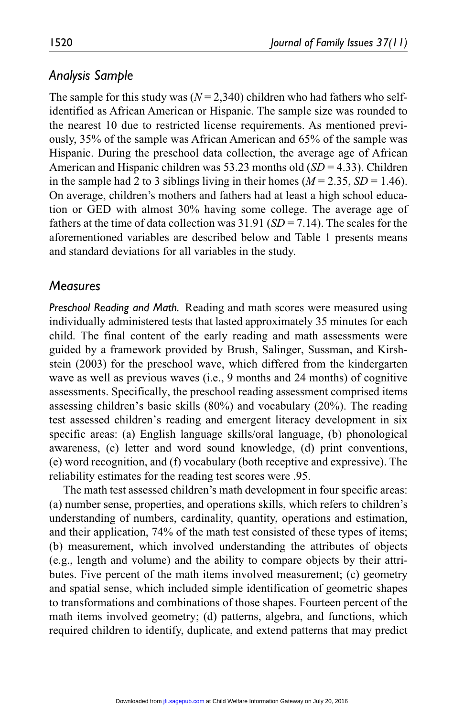# *Analysis Sample*

The sample for this study was  $(N=2,340)$  children who had fathers who selfidentified as African American or Hispanic. The sample size was rounded to the nearest 10 due to restricted license requirements. As mentioned previously, 35% of the sample was African American and 65% of the sample was Hispanic. During the preschool data collection, the average age of African American and Hispanic children was 53.23 months old (*SD* = 4.33). Children in the sample had 2 to 3 siblings living in their homes  $(M = 2.35, SD = 1.46)$ . On average, children's mothers and fathers had at least a high school education or GED with almost 30% having some college. The average age of fathers at the time of data collection was 31.91 (*SD* = 7.14). The scales for the aforementioned variables are described below and Table 1 presents means and standard deviations for all variables in the study.

# *Measures*

*Preschool Reading and Math.* Reading and math scores were measured using individually administered tests that lasted approximately 35 minutes for each child. The final content of the early reading and math assessments were guided by a framework provided by Brush, Salinger, Sussman, and Kirshstein (2003) for the preschool wave, which differed from the kindergarten wave as well as previous waves (i.e., 9 months and 24 months) of cognitive assessments. Specifically, the preschool reading assessment comprised items assessing children's basic skills (80%) and vocabulary (20%). The reading test assessed children's reading and emergent literacy development in six specific areas: (a) English language skills/oral language, (b) phonological awareness, (c) letter and word sound knowledge, (d) print conventions, (e) word recognition, and (f) vocabulary (both receptive and expressive). The reliability estimates for the reading test scores were .95.

The math test assessed children's math development in four specific areas: (a) number sense, properties, and operations skills, which refers to children's understanding of numbers, cardinality, quantity, operations and estimation, and their application, 74% of the math test consisted of these types of items; (b) measurement, which involved understanding the attributes of objects (e.g., length and volume) and the ability to compare objects by their attributes. Five percent of the math items involved measurement; (c) geometry and spatial sense, which included simple identification of geometric shapes to transformations and combinations of those shapes. Fourteen percent of the math items involved geometry; (d) patterns, algebra, and functions, which required children to identify, duplicate, and extend patterns that may predict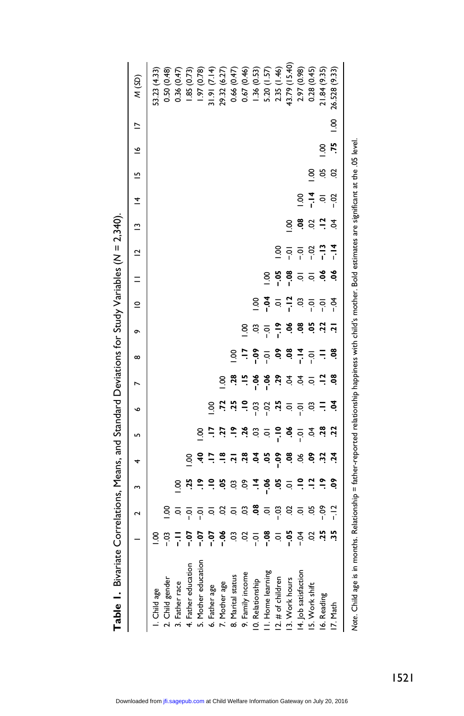| Table 1. Bivariate Correlations, Means, and Standard Deviations for Study Variables ( $N = 2.340$ ).                                                     |                |               |          |                |          |          |               |                |               |               |                |               |               |                |               |                |                |               |
|----------------------------------------------------------------------------------------------------------------------------------------------------------|----------------|---------------|----------|----------------|----------|----------|---------------|----------------|---------------|---------------|----------------|---------------|---------------|----------------|---------------|----------------|----------------|---------------|
|                                                                                                                                                          |                |               |          |                | Lŋ       | ۰o       |               | ∞              | ๛             | $\subseteq$   | $=$            | $\approx$     | $\tilde{=}$   | $\overline{4}$ | Ľ             | $\tilde{=}$    | $\overline{a}$ | M (SD)        |
| I. Child age                                                                                                                                             | ş              |               |          |                |          |          |               |                |               |               |                |               |               |                |               |                |                | 53.23 (4.33)  |
| 2. Child gender                                                                                                                                          | ຶ່ງ            | S             |          |                |          |          |               |                |               |               |                |               |               |                |               |                |                | 0.50(0.48)    |
| 3. Father race                                                                                                                                           | Ę              | ā             | S        |                |          |          |               |                |               |               |                |               |               |                |               |                |                | 0.36(0.47)    |
| 4. Father education                                                                                                                                      | <u>ره۔</u>     | ៑             |          | S.             |          |          |               |                |               |               |                |               |               |                |               |                |                | .85(0.73)     |
| 5. Mother education                                                                                                                                      |                | ៑             |          | ड़             | S        |          |               |                |               |               |                |               |               |                |               |                |                | (0.78)        |
| 6. Father age                                                                                                                                            |                |               |          |                | Ę        | <u>ខ</u> |               |                |               |               |                |               |               |                |               |                |                | 31.91(7.14)   |
| 7. Mother age                                                                                                                                            | ಽ಼             | ຮຸ            |          | ≅              |          |          | $\frac{8}{1}$ |                |               |               |                |               |               |                |               |                |                | 29.32 (6.27)  |
| 8. Marital status                                                                                                                                        | S              | ē             | So       | ឝ              | <u>ື</u> |          | 28.           | S              |               |               |                |               |               |                |               |                |                | 0.66 (0.47)   |
| 9. Family income                                                                                                                                         | S              | ິວ            | <u>ဇ</u> | 28.            | 26       |          |               | Ξ              | $\frac{8}{1}$ |               |                |               |               |                |               |                |                | 0.67 (0.46)   |
| 10. Relationship                                                                                                                                         | $\overline{Q}$ | ఇ             |          | इ              | ຮ        |          | ຸຣຸ           | ဒို            |               | $\frac{8}{1}$ |                |               |               |                |               |                |                | 1.36(0.53)    |
| II. Home learning                                                                                                                                        | ຶ້             | ē             | ە<br>-   | ິຣຸ            | ਼        |          | ಕೆ.           | $\overline{5}$ | ៑             | កុំ           | 8<br>-         |               |               |                |               |                |                | 5.20 (1.57)   |
| 12. # of children                                                                                                                                        | ē              | ຶີ່           | క్త      | ႜို            | ءِ<br>ت  |          | 29            | နဲ့            | ှံ            |               | ະິ             | $\frac{8}{1}$ |               |                |               |                |                | 2.35 (1.46)   |
| 13. Work hours                                                                                                                                           | ຶ່ງ            | ຣ             |          | ຶ              | న        | ੨        | \$            | ຶ              | శ             | $\frac{1}{1}$ | ຶ້             | ៑             | S             |                |               |                |                | 43.79 (15.40) |
| 14. Job satisfaction                                                                                                                                     | $\vec{5}$      |               | <u>۽</u> | 8              | ៑        | ៑ុ       | S.            | $\frac{4}{1}$  | ័             | S             | ē              | 흑             | 8             | <u>ខ</u>       |               |                |                | 2.97 (0.98)   |
| 15. Work shift                                                                                                                                           |                | ່ວິ           | 12       | Ş.             | 3        |          | ā             | ៑៓             | ່ອຸ           | ៑             | $\overline{Q}$ | $-0.2$        | S             | $\frac{4}{1}$  | $\frac{8}{1}$ |                |                | 0.28(0.45)    |
| 16. Reading                                                                                                                                              | 25             | နိ            |          | 32             | .28      |          | $\frac{1}{2}$ |                | 22            |               | కి             | ុំ            | $\frac{1}{2}$ | ē              | So            | S <sub>i</sub> |                | 21.84 (9.35)  |
| I7. Math                                                                                                                                                 | ž              | $\frac{1}{2}$ | ŝ        | $\frac{24}{2}$ | 22       | इ        | ఇ             | °°             | ឝ             | ξ             | క              |               | S.            | ຊີ             | S             | 75             | $\frac{8}{1}$  | 26.528 (9.33) |
| Note. Child age is in months. Relationship = father-reported relationship happiness with child's mother. Bold estimates are significant at the .05 level |                |               |          |                |          |          |               |                |               |               |                |               |               |                |               |                |                |               |

1521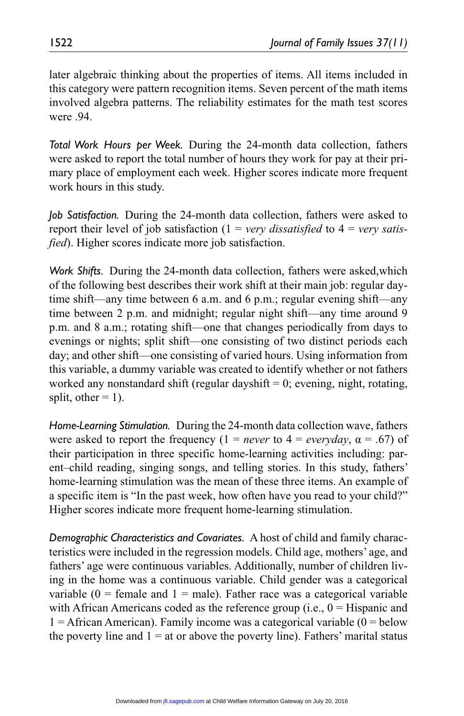later algebraic thinking about the properties of items. All items included in this category were pattern recognition items. Seven percent of the math items involved algebra patterns. The reliability estimates for the math test scores were .94.

*Total Work Hours per Week.* During the 24-month data collection, fathers were asked to report the total number of hours they work for pay at their primary place of employment each week. Higher scores indicate more frequent work hours in this study.

*Job Satisfaction.* During the 24-month data collection, fathers were asked to report their level of job satisfaction (1 = *very dissatisfied* to 4 = *very satisfied*). Higher scores indicate more job satisfaction.

*Work Shifts.* During the 24-month data collection, fathers were asked,which of the following best describes their work shift at their main job: regular daytime shift—any time between 6 a.m. and 6 p.m.; regular evening shift—any time between 2 p.m. and midnight; regular night shift—any time around 9 p.m. and 8 a.m.; rotating shift—one that changes periodically from days to evenings or nights; split shift—one consisting of two distinct periods each day; and other shift—one consisting of varied hours. Using information from this variable, a dummy variable was created to identify whether or not fathers worked any nonstandard shift (regular dayshift  $= 0$ ; evening, night, rotating, split, other  $= 1$ ).

*Home-Learning Stimulation.* During the 24-month data collection wave, fathers were asked to report the frequency ( $1 = never$  to  $4 = everyday$ ,  $\alpha = .67$ ) of their participation in three specific home-learning activities including: parent–child reading, singing songs, and telling stories. In this study, fathers' home-learning stimulation was the mean of these three items. An example of a specific item is "In the past week, how often have you read to your child?" Higher scores indicate more frequent home-learning stimulation.

*Demographic Characteristics and Covariates.* A host of child and family characteristics were included in the regression models. Child age, mothers' age, and fathers' age were continuous variables. Additionally, number of children living in the home was a continuous variable. Child gender was a categorical variable ( $0 =$  female and  $1 =$  male). Father race was a categorical variable with African Americans coded as the reference group (i.e.,  $0 =$  Hispanic and  $1 =$  African American). Family income was a categorical variable ( $0 =$  below the poverty line and  $1 = at$  or above the poverty line). Fathers' marital status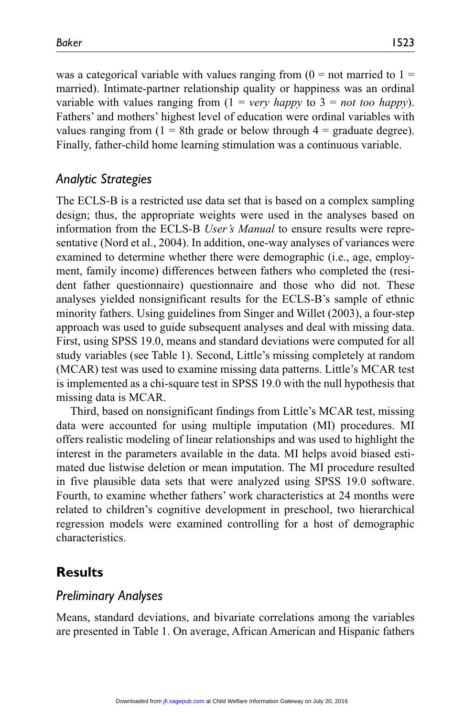was a categorical variable with values ranging from  $(0 = not$  married to  $1 =$ married). Intimate-partner relationship quality or happiness was an ordinal variable with values ranging from  $(1 = \text{very happy to } 3 = \text{not too happy}).$ Fathers' and mothers' highest level of education were ordinal variables with values ranging from  $(1 = 8$ th grade or below through  $4 =$  graduate degree). Finally, father-child home learning stimulation was a continuous variable.

# *Analytic Strategies*

The ECLS-B is a restricted use data set that is based on a complex sampling design; thus, the appropriate weights were used in the analyses based on information from the ECLS-B *User's Manual* to ensure results were representative (Nord et al., 2004). In addition, one-way analyses of variances were examined to determine whether there were demographic (i.e., age, employment, family income) differences between fathers who completed the (resident father questionnaire) questionnaire and those who did not. These analyses yielded nonsignificant results for the ECLS-B's sample of ethnic minority fathers. Using guidelines from Singer and Willet (2003), a four-step approach was used to guide subsequent analyses and deal with missing data. First, using SPSS 19.0, means and standard deviations were computed for all study variables (see Table 1). Second, Little's missing completely at random (MCAR) test was used to examine missing data patterns. Little's MCAR test is implemented as a chi-square test in SPSS 19.0 with the null hypothesis that missing data is MCAR.

Third, based on nonsignificant findings from Little's MCAR test, missing data were accounted for using multiple imputation (MI) procedures. MI offers realistic modeling of linear relationships and was used to highlight the interest in the parameters available in the data. MI helps avoid biased estimated due listwise deletion or mean imputation. The MI procedure resulted in five plausible data sets that were analyzed using SPSS 19.0 software. Fourth, to examine whether fathers' work characteristics at 24 months were related to children's cognitive development in preschool, two hierarchical regression models were examined controlling for a host of demographic characteristics.

### **Results**

#### *Preliminary Analyses*

Means, standard deviations, and bivariate correlations among the variables are presented in Table 1. On average, African American and Hispanic fathers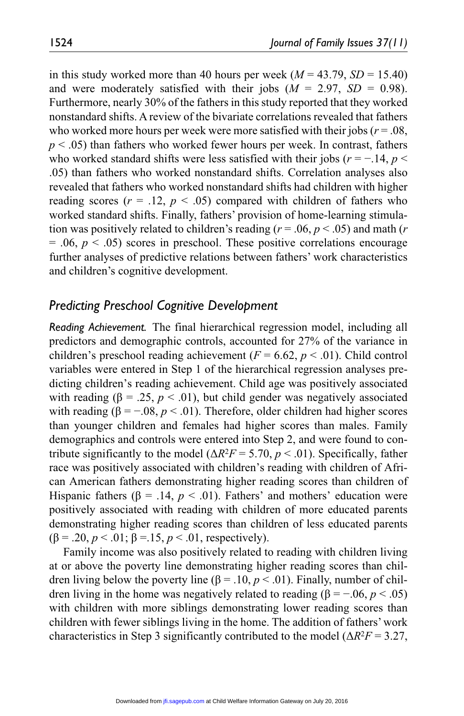in this study worked more than 40 hours per week  $(M = 43.79, SD = 15.40)$ and were moderately satisfied with their jobs  $(M = 2.97, SD = 0.98)$ . Furthermore, nearly 30% of the fathers in this study reported that they worked nonstandard shifts. A review of the bivariate correlations revealed that fathers who worked more hours per week were more satisfied with their jobs  $(r = .08, )$ *p* < .05) than fathers who worked fewer hours per week. In contrast, fathers who worked standard shifts were less satisfied with their jobs ( $r = -14$ ,  $p <$ .05) than fathers who worked nonstandard shifts. Correlation analyses also revealed that fathers who worked nonstandard shifts had children with higher reading scores  $(r = .12, p < .05)$  compared with children of fathers who worked standard shifts. Finally, fathers' provision of home-learning stimulation was positively related to children's reading ( $r = .06$ ,  $p < .05$ ) and math (*r*  $= .06, p < .05$ ) scores in preschool. These positive correlations encourage further analyses of predictive relations between fathers' work characteristics and children's cognitive development.

#### *Predicting Preschool Cognitive Development*

*Reading Achievement.* The final hierarchical regression model, including all predictors and demographic controls, accounted for 27% of the variance in children's preschool reading achievement  $(F = 6.62, p < .01)$ . Child control variables were entered in Step 1 of the hierarchical regression analyses predicting children's reading achievement. Child age was positively associated with reading ( $\beta = .25$ ,  $p < .01$ ), but child gender was negatively associated with reading ( $\beta = -.08$ ,  $p < .01$ ). Therefore, older children had higher scores than younger children and females had higher scores than males. Family demographics and controls were entered into Step 2, and were found to contribute significantly to the model ( $\Delta R^2F = 5.70$ ,  $p < .01$ ). Specifically, father race was positively associated with children's reading with children of African American fathers demonstrating higher reading scores than children of Hispanic fathers ( $β = .14, p < .01$ ). Fathers' and mothers' education were positively associated with reading with children of more educated parents demonstrating higher reading scores than children of less educated parents ( $\beta$  = .20, *p* < .01;  $\beta$  = .15, *p* < .01, respectively).

Family income was also positively related to reading with children living at or above the poverty line demonstrating higher reading scores than children living below the poverty line (β = .10,  $p < .01$ ). Finally, number of children living in the home was negatively related to reading (β =  $-0.06$ , *p* < 0.05) with children with more siblings demonstrating lower reading scores than children with fewer siblings living in the home. The addition of fathers' work characteristics in Step 3 significantly contributed to the model (Δ*R*2*F* = 3.27,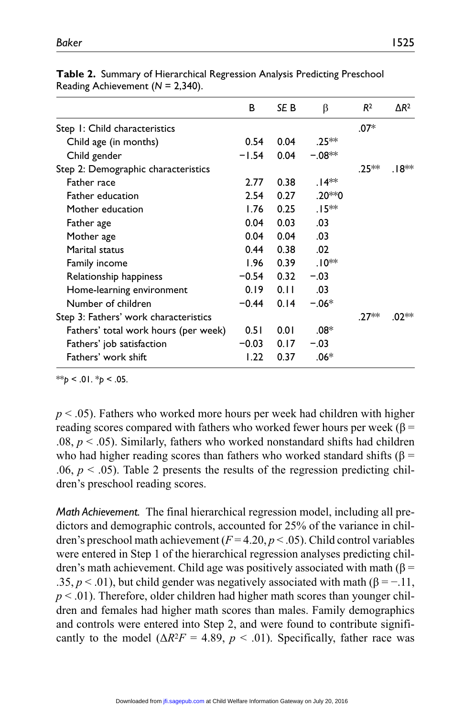|                                       | в       | SE B | β        | R <sup>2</sup> | $\Delta R^2$ |
|---------------------------------------|---------|------|----------|----------------|--------------|
| Step 1: Child characteristics         |         |      |          | .07*           |              |
| Child age (in months)                 | 0.54    | 0.04 | $.25**$  |                |              |
| Child gender                          | $-1.54$ | 0.04 | $-.08**$ |                |              |
| Step 2: Demographic characteristics   |         |      |          | .25**          | .18**        |
| Father race                           | 2.77    | 0.38 | $.14**$  |                |              |
| Father education                      | 2.54    | 0.27 | .20**0   |                |              |
| Mother education                      | 1.76    | 0.25 | $.15**$  |                |              |
| Father age                            | 0.04    | 0.03 | .03      |                |              |
| Mother age                            | 0.04    | 0.04 | .03      |                |              |
| Marital status                        | 0.44    | 0.38 | .02      |                |              |
| Family income                         | 1.96    | 0.39 | .10**    |                |              |
| Relationship happiness                | $-0.54$ | 0.32 | $-.03$   |                |              |
| Home-learning environment             | 0.19    | 0.11 | .03      |                |              |
| Number of children                    | $-0.44$ | 0.14 | $-.06*$  |                |              |
| Step 3: Fathers' work characteristics |         |      |          | .27**          | $.02**$      |
| Fathers' total work hours (per week)  | 0.51    | 0.01 | $.08*$   |                |              |
| Fathers' job satisfaction             | $-0.03$ | 0.17 | $-.03$   |                |              |
| Fathers' work shift                   | 1.22    | 0.37 | $.06*$   |                |              |

**Table 2.** Summary of Hierarchical Regression Analysis Predicting Preschool Reading Achievement (*N* = 2,340).

\*\**p* < .01. \**p* < .05.

*p* < .05). Fathers who worked more hours per week had children with higher reading scores compared with fathers who worked fewer hours per week (β =  $.08, p \leq .05$ ). Similarly, fathers who worked nonstandard shifts had children who had higher reading scores than fathers who worked standard shifts ( $\beta$  = .06,  $p < .05$ ). Table 2 presents the results of the regression predicting children's preschool reading scores.

*Math Achievement.* The final hierarchical regression model, including all predictors and demographic controls, accounted for 25% of the variance in children's preschool math achievement  $(F = 4.20, p < .05)$ . Child control variables were entered in Step 1 of the hierarchical regression analyses predicting children's math achievement. Child age was positively associated with math (β = .35,  $p < 0.01$ ), but child gender was negatively associated with math ( $\beta = -11$ , *p* < .01). Therefore, older children had higher math scores than younger children and females had higher math scores than males. Family demographics and controls were entered into Step 2, and were found to contribute significantly to the model ( $\Delta R^2F = 4.89$ ,  $p < .01$ ). Specifically, father race was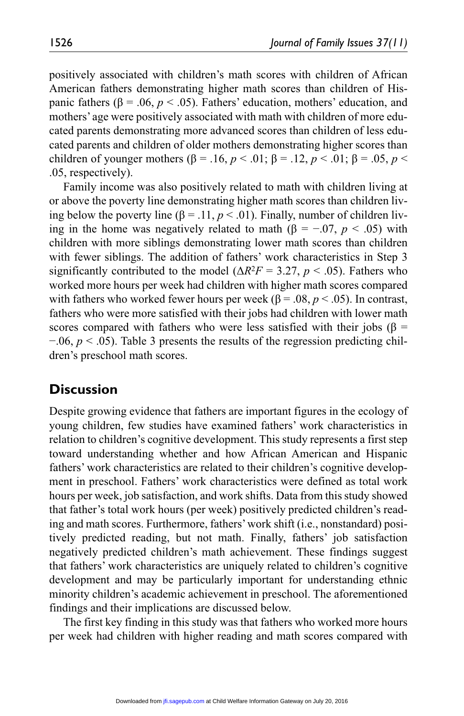positively associated with children's math scores with children of African American fathers demonstrating higher math scores than children of Hispanic fathers (β = .06,  $p$  < .05). Fathers' education, mothers' education, and mothers' age were positively associated with math with children of more educated parents demonstrating more advanced scores than children of less educated parents and children of older mothers demonstrating higher scores than children of younger mothers (β = .16, *p* < .01; β = .12, *p* < .01; β = .05, *p* < .05, respectively).

Family income was also positively related to math with children living at or above the poverty line demonstrating higher math scores than children living below the poverty line ( $\beta$  = .11,  $p$  < .01). Finally, number of children living in the home was negatively related to math (β = −.07, *p* < .05) with children with more siblings demonstrating lower math scores than children with fewer siblings. The addition of fathers' work characteristics in Step 3 significantly contributed to the model ( $\Delta R^2F = 3.27$ ,  $p < .05$ ). Fathers who worked more hours per week had children with higher math scores compared with fathers who worked fewer hours per week ( $\beta = .08$ ,  $p < .05$ ). In contrast, fathers who were more satisfied with their jobs had children with lower math scores compared with fathers who were less satisfied with their jobs ( $\beta$  = −.06, *p* < .05). Table 3 presents the results of the regression predicting children's preschool math scores.

# **Discussion**

Despite growing evidence that fathers are important figures in the ecology of young children, few studies have examined fathers' work characteristics in relation to children's cognitive development. This study represents a first step toward understanding whether and how African American and Hispanic fathers' work characteristics are related to their children's cognitive development in preschool. Fathers' work characteristics were defined as total work hours per week, job satisfaction, and work shifts. Data from this study showed that father's total work hours (per week) positively predicted children's reading and math scores. Furthermore, fathers' work shift (i.e., nonstandard) positively predicted reading, but not math. Finally, fathers' job satisfaction negatively predicted children's math achievement. These findings suggest that fathers' work characteristics are uniquely related to children's cognitive development and may be particularly important for understanding ethnic minority children's academic achievement in preschool. The aforementioned findings and their implications are discussed below.

The first key finding in this study was that fathers who worked more hours per week had children with higher reading and math scores compared with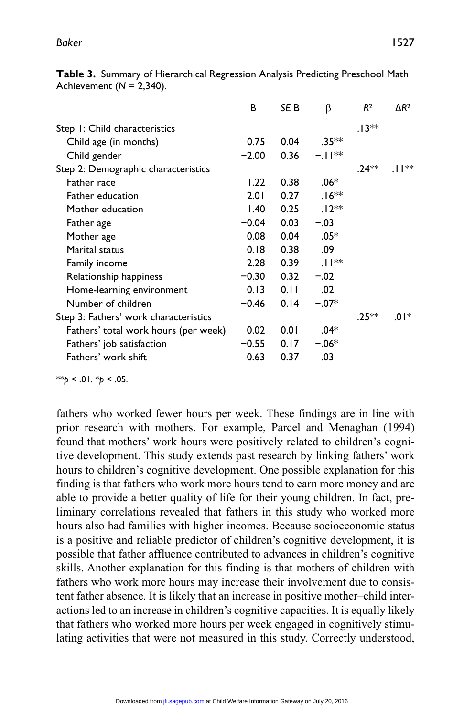|                                       | в       | SE B | β       | R <sup>2</sup> | $\Delta R^2$ |
|---------------------------------------|---------|------|---------|----------------|--------------|
| Step 1: Child characteristics         |         |      |         | $.13**$        |              |
| Child age (in months)                 | 0.75    | 0.04 | $.35**$ |                |              |
| Child gender                          | $-2.00$ | 0.36 | $-11**$ |                |              |
| Step 2: Demographic characteristics   |         |      |         | .24**          | $.11**$      |
| Father race                           | 1.22    | 0.38 | $.06*$  |                |              |
| <b>Father education</b>               | 2.01    | 0.27 | $.16**$ |                |              |
| Mother education                      | 1.40    | 0.25 | $.12**$ |                |              |
| Father age                            | $-0.04$ | 0.03 | $-.03$  |                |              |
| Mother age                            | 0.08    | 0.04 | $.05*$  |                |              |
| Marital status                        | 0.18    | 0.38 | .09     |                |              |
| Family income                         | 2.28    | 0.39 | .।।**   |                |              |
| Relationship happiness                | $-0.30$ | 0.32 | $-.02$  |                |              |
| Home-learning environment             | 0.13    | 0.11 | .02     |                |              |
| Number of children                    | $-0.46$ | 0.14 | $-.07*$ |                |              |
| Step 3: Fathers' work characteristics |         |      |         | .25**          | $.01*$       |
| Fathers' total work hours (per week)  | 0.02    | 0.01 | $.04*$  |                |              |
| Fathers' job satisfaction             | $-0.55$ | 0.17 | $-.06*$ |                |              |
| Fathers' work shift                   | 0.63    | 0.37 | .03     |                |              |

**Table 3.** Summary of Hierarchical Regression Analysis Predicting Preschool Math Achievement (*N* = 2,340).

\*\**p* < .01. \**p* < .05.

fathers who worked fewer hours per week. These findings are in line with prior research with mothers. For example, Parcel and Menaghan (1994) found that mothers' work hours were positively related to children's cognitive development. This study extends past research by linking fathers' work hours to children's cognitive development. One possible explanation for this finding is that fathers who work more hours tend to earn more money and are able to provide a better quality of life for their young children. In fact, preliminary correlations revealed that fathers in this study who worked more hours also had families with higher incomes. Because socioeconomic status is a positive and reliable predictor of children's cognitive development, it is possible that father affluence contributed to advances in children's cognitive skills. Another explanation for this finding is that mothers of children with fathers who work more hours may increase their involvement due to consistent father absence. It is likely that an increase in positive mother–child interactions led to an increase in children's cognitive capacities. It is equally likely that fathers who worked more hours per week engaged in cognitively stimulating activities that were not measured in this study. Correctly understood,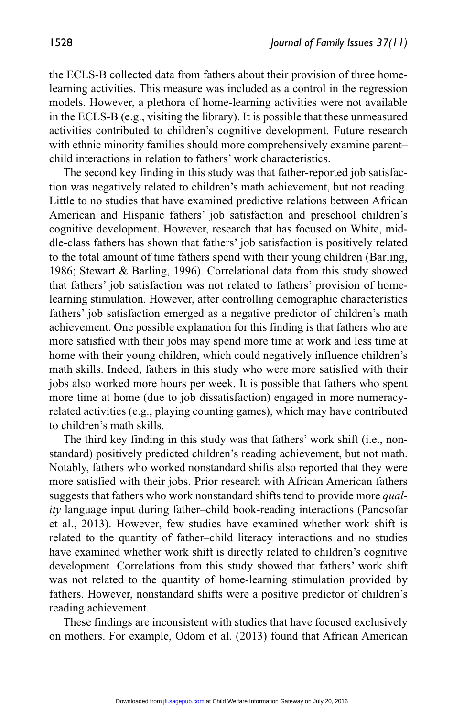the ECLS-B collected data from fathers about their provision of three homelearning activities. This measure was included as a control in the regression models. However, a plethora of home-learning activities were not available in the ECLS-B (e.g., visiting the library). It is possible that these unmeasured activities contributed to children's cognitive development. Future research with ethnic minority families should more comprehensively examine parent– child interactions in relation to fathers' work characteristics.

The second key finding in this study was that father-reported job satisfaction was negatively related to children's math achievement, but not reading. Little to no studies that have examined predictive relations between African American and Hispanic fathers' job satisfaction and preschool children's cognitive development. However, research that has focused on White, middle-class fathers has shown that fathers' job satisfaction is positively related to the total amount of time fathers spend with their young children (Barling, 1986; Stewart & Barling, 1996). Correlational data from this study showed that fathers' job satisfaction was not related to fathers' provision of homelearning stimulation. However, after controlling demographic characteristics fathers' job satisfaction emerged as a negative predictor of children's math achievement. One possible explanation for this finding is that fathers who are more satisfied with their jobs may spend more time at work and less time at home with their young children, which could negatively influence children's math skills. Indeed, fathers in this study who were more satisfied with their jobs also worked more hours per week. It is possible that fathers who spent more time at home (due to job dissatisfaction) engaged in more numeracyrelated activities (e.g., playing counting games), which may have contributed to children's math skills.

The third key finding in this study was that fathers' work shift (i.e., nonstandard) positively predicted children's reading achievement, but not math. Notably, fathers who worked nonstandard shifts also reported that they were more satisfied with their jobs. Prior research with African American fathers suggests that fathers who work nonstandard shifts tend to provide more *quality* language input during father–child book-reading interactions (Pancsofar et al., 2013). However, few studies have examined whether work shift is related to the quantity of father–child literacy interactions and no studies have examined whether work shift is directly related to children's cognitive development. Correlations from this study showed that fathers' work shift was not related to the quantity of home-learning stimulation provided by fathers. However, nonstandard shifts were a positive predictor of children's reading achievement.

These findings are inconsistent with studies that have focused exclusively on mothers. For example, Odom et al. (2013) found that African American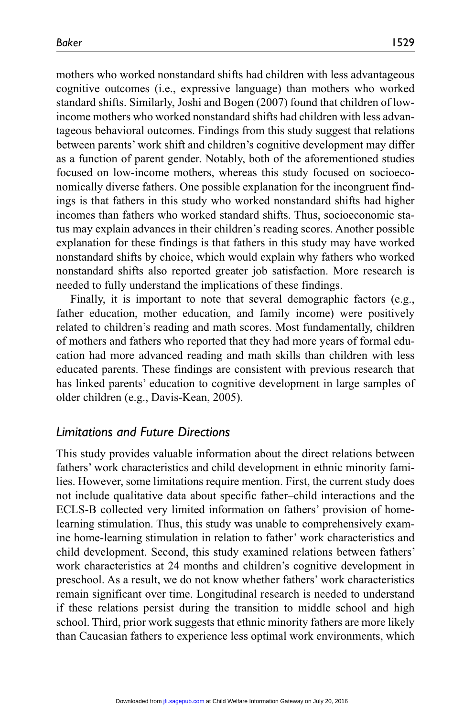mothers who worked nonstandard shifts had children with less advantageous cognitive outcomes (i.e., expressive language) than mothers who worked standard shifts. Similarly, Joshi and Bogen (2007) found that children of lowincome mothers who worked nonstandard shifts had children with less advantageous behavioral outcomes. Findings from this study suggest that relations between parents' work shift and children's cognitive development may differ as a function of parent gender. Notably, both of the aforementioned studies focused on low-income mothers, whereas this study focused on socioeconomically diverse fathers. One possible explanation for the incongruent findings is that fathers in this study who worked nonstandard shifts had higher incomes than fathers who worked standard shifts. Thus, socioeconomic status may explain advances in their children's reading scores. Another possible explanation for these findings is that fathers in this study may have worked nonstandard shifts by choice, which would explain why fathers who worked nonstandard shifts also reported greater job satisfaction. More research is needed to fully understand the implications of these findings.

Finally, it is important to note that several demographic factors (e.g., father education, mother education, and family income) were positively related to children's reading and math scores. Most fundamentally, children of mothers and fathers who reported that they had more years of formal education had more advanced reading and math skills than children with less educated parents. These findings are consistent with previous research that has linked parents' education to cognitive development in large samples of older children (e.g., Davis-Kean, 2005).

#### *Limitations and Future Directions*

This study provides valuable information about the direct relations between fathers' work characteristics and child development in ethnic minority families. However, some limitations require mention. First, the current study does not include qualitative data about specific father–child interactions and the ECLS-B collected very limited information on fathers' provision of homelearning stimulation. Thus, this study was unable to comprehensively examine home-learning stimulation in relation to father' work characteristics and child development. Second, this study examined relations between fathers' work characteristics at 24 months and children's cognitive development in preschool. As a result, we do not know whether fathers' work characteristics remain significant over time. Longitudinal research is needed to understand if these relations persist during the transition to middle school and high school. Third, prior work suggests that ethnic minority fathers are more likely than Caucasian fathers to experience less optimal work environments, which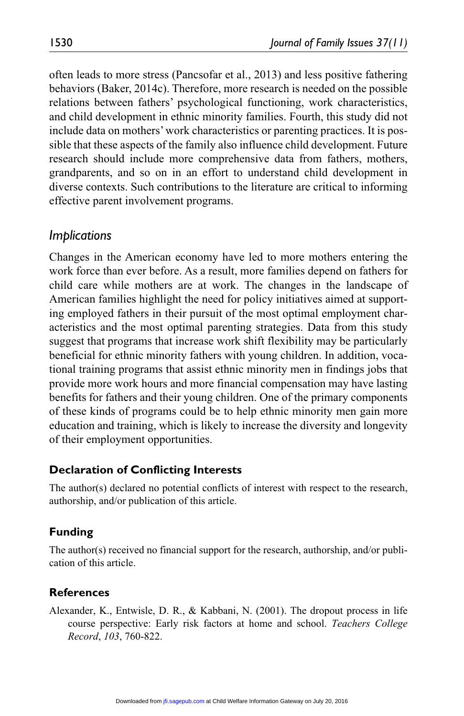often leads to more stress (Pancsofar et al., 2013) and less positive fathering behaviors (Baker, 2014c). Therefore, more research is needed on the possible relations between fathers' psychological functioning, work characteristics, and child development in ethnic minority families. Fourth, this study did not include data on mothers' work characteristics or parenting practices. It is possible that these aspects of the family also influence child development. Future research should include more comprehensive data from fathers, mothers, grandparents, and so on in an effort to understand child development in diverse contexts. Such contributions to the literature are critical to informing effective parent involvement programs.

#### *Implications*

Changes in the American economy have led to more mothers entering the work force than ever before. As a result, more families depend on fathers for child care while mothers are at work. The changes in the landscape of American families highlight the need for policy initiatives aimed at supporting employed fathers in their pursuit of the most optimal employment characteristics and the most optimal parenting strategies. Data from this study suggest that programs that increase work shift flexibility may be particularly beneficial for ethnic minority fathers with young children. In addition, vocational training programs that assist ethnic minority men in findings jobs that provide more work hours and more financial compensation may have lasting benefits for fathers and their young children. One of the primary components of these kinds of programs could be to help ethnic minority men gain more education and training, which is likely to increase the diversity and longevity of their employment opportunities.

#### **Declaration of Conflicting Interests**

The author(s) declared no potential conflicts of interest with respect to the research, authorship, and/or publication of this article.

#### **Funding**

The author(s) received no financial support for the research, authorship, and/or publication of this article.

#### **References**

Alexander, K., Entwisle, D. R., & Kabbani, N. (2001). The dropout process in life course perspective: Early risk factors at home and school. *Teachers College Record*, *103*, 760-822.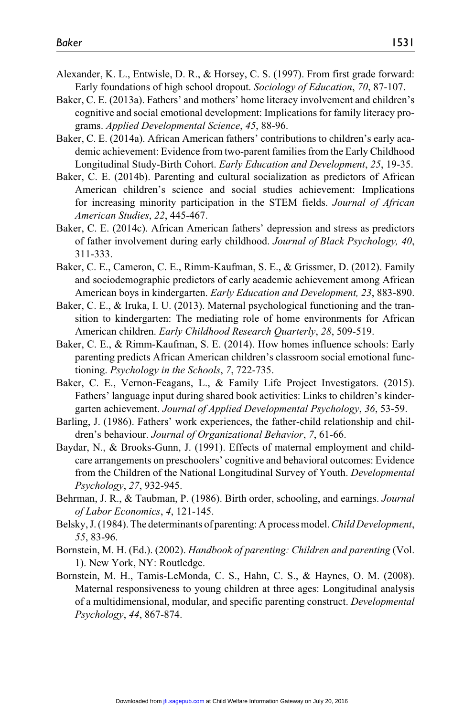- Alexander, K. L., Entwisle, D. R., & Horsey, C. S. (1997). From first grade forward: Early foundations of high school dropout. *Sociology of Education*, *70*, 87-107.
- Baker, C. E. (2013a). Fathers' and mothers' home literacy involvement and children's cognitive and social emotional development: Implications for family literacy programs. *Applied Developmental Science*, *45*, 88-96.
- Baker, C. E. (2014a). African American fathers' contributions to children's early academic achievement: Evidence from two-parent families from the Early Childhood Longitudinal Study-Birth Cohort. *Early Education and Development*, *25*, 19-35.
- Baker, C. E. (2014b). Parenting and cultural socialization as predictors of African American children's science and social studies achievement: Implications for increasing minority participation in the STEM fields. *Journal of African American Studies*, *22*, 445-467.
- Baker, C. E. (2014c). African American fathers' depression and stress as predictors of father involvement during early childhood. *Journal of Black Psychology, 40*, 311-333.
- Baker, C. E., Cameron, C. E., Rimm-Kaufman, S. E., & Grissmer, D. (2012). Family and sociodemographic predictors of early academic achievement among African American boys in kindergarten. *Early Education and Development, 23*, 883-890.
- Baker, C. E., & Iruka, I. U. (2013). Maternal psychological functioning and the transition to kindergarten: The mediating role of home environments for African American children. *Early Childhood Research Quarterly*, *28*, 509-519.
- Baker, C. E., & Rimm-Kaufman, S. E. (2014). How homes influence schools: Early parenting predicts African American children's classroom social emotional functioning. *Psychology in the Schools*, *7*, 722-735.
- Baker, C. E., Vernon-Feagans, L., & Family Life Project Investigators. (2015). Fathers' language input during shared book activities: Links to children's kindergarten achievement. *Journal of Applied Developmental Psychology*, *36*, 53-59.
- Barling, J. (1986). Fathers' work experiences, the father-child relationship and children's behaviour. *Journal of Organizational Behavior*, *7*, 61-66.
- Baydar, N., & Brooks-Gunn, J. (1991). Effects of maternal employment and childcare arrangements on preschoolers' cognitive and behavioral outcomes: Evidence from the Children of the National Longitudinal Survey of Youth. *Developmental Psychology*, *27*, 932-945.
- Behrman, J. R., & Taubman, P. (1986). Birth order, schooling, and earnings. *Journal of Labor Economics*, *4*, 121-145.
- Belsky, J. (1984). The determinants of parenting: A process model. *Child Development*, *55*, 83-96.
- Bornstein, M. H. (Ed.). (2002). *Handbook of parenting: Children and parenting* (Vol. 1). New York, NY: Routledge.
- Bornstein, M. H., Tamis-LeMonda, C. S., Hahn, C. S., & Haynes, O. M. (2008). Maternal responsiveness to young children at three ages: Longitudinal analysis of a multidimensional, modular, and specific parenting construct. *Developmental Psychology*, *44*, 867-874.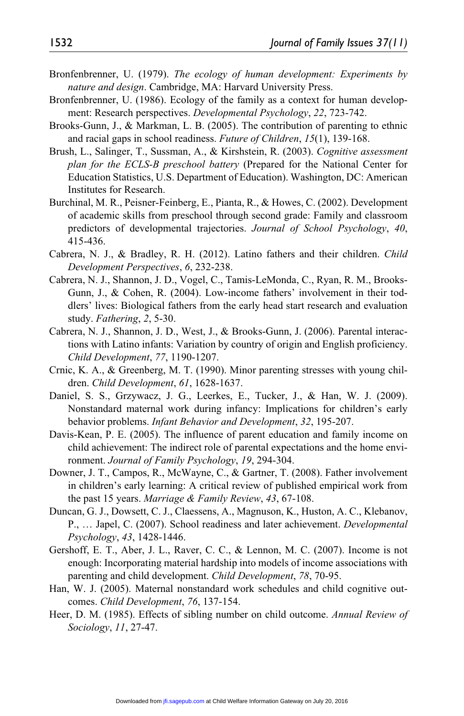- Bronfenbrenner, U. (1979). *The ecology of human development: Experiments by nature and design*. Cambridge, MA: Harvard University Press.
- Bronfenbrenner, U. (1986). Ecology of the family as a context for human development: Research perspectives. *Developmental Psychology*, *22*, 723-742.
- Brooks-Gunn, J., & Markman, L. B. (2005). The contribution of parenting to ethnic and racial gaps in school readiness. *Future of Children*, *15*(1), 139-168.
- Brush, L., Salinger, T., Sussman, A., & Kirshstein, R. (2003). *Cognitive assessment plan for the ECLS-B preschool battery* (Prepared for the National Center for Education Statistics, U.S. Department of Education). Washington, DC: American Institutes for Research.
- Burchinal, M. R., Peisner-Feinberg, E., Pianta, R., & Howes, C. (2002). Development of academic skills from preschool through second grade: Family and classroom predictors of developmental trajectories. *Journal of School Psychology*, *40*, 415-436.
- Cabrera, N. J., & Bradley, R. H. (2012). Latino fathers and their children. *Child Development Perspectives*, *6*, 232-238.
- Cabrera, N. J., Shannon, J. D., Vogel, C., Tamis-LeMonda, C., Ryan, R. M., Brooks-Gunn, J., & Cohen, R. (2004). Low-income fathers' involvement in their toddlers' lives: Biological fathers from the early head start research and evaluation study. *Fathering*, *2*, 5-30.
- Cabrera, N. J., Shannon, J. D., West, J., & Brooks-Gunn, J. (2006). Parental interactions with Latino infants: Variation by country of origin and English proficiency. *Child Development*, *77*, 1190-1207.
- Crnic, K. A., & Greenberg, M. T. (1990). Minor parenting stresses with young children. *Child Development*, *61*, 1628-1637.
- Daniel, S. S., Grzywacz, J. G., Leerkes, E., Tucker, J., & Han, W. J. (2009). Nonstandard maternal work during infancy: Implications for children's early behavior problems. *Infant Behavior and Development*, *32*, 195-207.
- Davis-Kean, P. E. (2005). The influence of parent education and family income on child achievement: The indirect role of parental expectations and the home environment. *Journal of Family Psychology*, *19*, 294-304.
- Downer, J. T., Campos, R., McWayne, C., & Gartner, T. (2008). Father involvement in children's early learning: A critical review of published empirical work from the past 15 years. *Marriage & Family Review*, *43*, 67-108.
- Duncan, G. J., Dowsett, C. J., Claessens, A., Magnuson, K., Huston, A. C., Klebanov, P., … Japel, C. (2007). School readiness and later achievement. *Developmental Psychology*, *43*, 1428-1446.
- Gershoff, E. T., Aber, J. L., Raver, C. C., & Lennon, M. C. (2007). Income is not enough: Incorporating material hardship into models of income associations with parenting and child development. *Child Development*, *78*, 70-95.
- Han, W. J. (2005). Maternal nonstandard work schedules and child cognitive outcomes. *Child Development*, *76*, 137-154.
- Heer, D. M. (1985). Effects of sibling number on child outcome. *Annual Review of Sociology*, *11*, 27-47.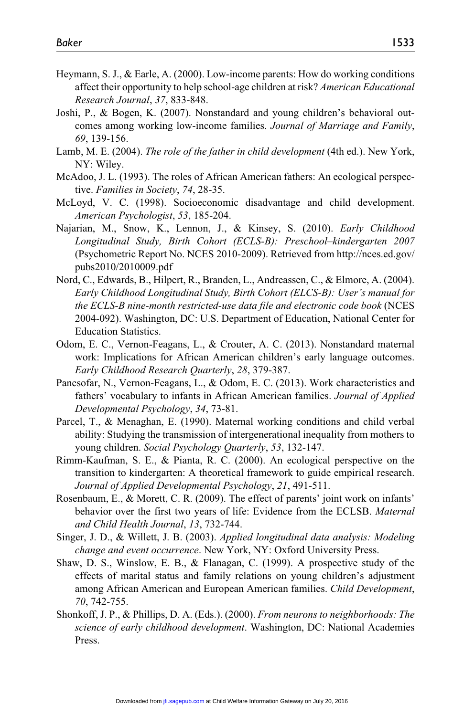- Heymann, S. J., & Earle, A. (2000). Low-income parents: How do working conditions affect their opportunity to help school-age children at risk? *American Educational Research Journal*, *37*, 833-848.
- Joshi, P., & Bogen, K. (2007). Nonstandard and young children's behavioral outcomes among working low-income families. *Journal of Marriage and Family*, *69*, 139-156.
- Lamb, M. E. (2004). *The role of the father in child development* (4th ed.). New York, NY: Wiley.
- McAdoo, J. L. (1993). The roles of African American fathers: An ecological perspective. *Families in Society*, *74*, 28-35.
- McLoyd, V. C. (1998). Socioeconomic disadvantage and child development. *American Psychologist*, *53*, 185-204.
- Najarian, M., Snow, K., Lennon, J., & Kinsey, S. (2010). *Early Childhood Longitudinal Study, Birth Cohort (ECLS-B): Preschool–kindergarten 2007* (Psychometric Report No. NCES 2010-2009). Retrieved from [http://nces.ed.gov/](http://nces.ed.gov/pubs2010/2010009.pdf) [pubs2010/2010009.pdf](http://nces.ed.gov/pubs2010/2010009.pdf)
- Nord, C., Edwards, B., Hilpert, R., Branden, L., Andreassen, C., & Elmore, A. (2004). *Early Childhood Longitudinal Study, Birth Cohort (ELCS-B): User's manual for the ECLS-B nine-month restricted-use data file and electronic code book* (NCES 2004-092). Washington, DC: U.S. Department of Education, National Center for Education Statistics.
- Odom, E. C., Vernon-Feagans, L., & Crouter, A. C. (2013). Nonstandard maternal work: Implications for African American children's early language outcomes. *Early Childhood Research Quarterly*, *28*, 379-387.
- Pancsofar, N., Vernon-Feagans, L., & Odom, E. C. (2013). Work characteristics and fathers' vocabulary to infants in African American families. *Journal of Applied Developmental Psychology*, *34*, 73-81.
- Parcel, T., & Menaghan, E. (1990). Maternal working conditions and child verbal ability: Studying the transmission of intergenerational inequality from mothers to young children. *Social Psychology Quarterly*, *53*, 132-147.
- Rimm-Kaufman, S. E., & Pianta, R. C. (2000). An ecological perspective on the transition to kindergarten: A theoretical framework to guide empirical research. *Journal of Applied Developmental Psychology*, *21*, 491-511.
- Rosenbaum, E., & Morett, C. R. (2009). The effect of parents' joint work on infants' behavior over the first two years of life: Evidence from the ECLSB. *Maternal and Child Health Journal*, *13*, 732-744.
- Singer, J. D., & Willett, J. B. (2003). *Applied longitudinal data analysis: Modeling change and event occurrence*. New York, NY: Oxford University Press.
- Shaw, D. S., Winslow, E. B., & Flanagan, C. (1999). A prospective study of the effects of marital status and family relations on young children's adjustment among African American and European American families. *Child Development*, *70*, 742-755.
- Shonkoff, J. P., & Phillips, D. A. (Eds.). (2000). *From neurons to neighborhoods: The science of early childhood development*. Washington, DC: National Academies Press.